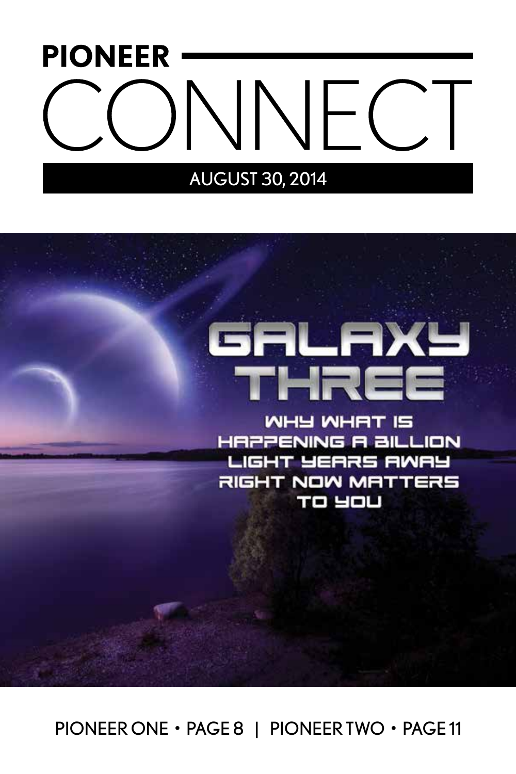# **PIONEER DNNECT**

# AUGUST 30, 2014

# GALAXY THREE

WHY WHAT IS **HAPPENING A BILLION** LIGHT YEARS AWAY RIGHT NOW MATTERS **TO YOU** 

PIONEER ONE • PAGE 8 | PIONEER TWO • PAGE 11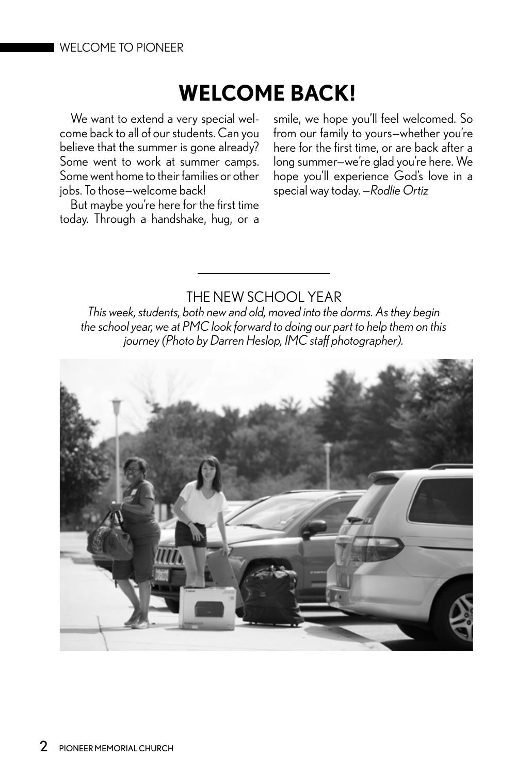#### WELCOME TO PIONEER

# **WELCOME BACK!**

We want to extend a very special welcome back to all of our students. Can you believe that the summer is gone already? Some went to work at summer camps. Some went home to their families or other jobs. To those—welcome back!

But maybe you're here for the first time today. Through a handshake, hug, or a smile, we hope you'll feel welcomed. So from our family to yours—whether you're here for the first time, or are back after a long summer—we're glad you're here. We hope you'll experience God's love in a special way today. *—Rodlie Ortiz*

# THE NEW SCHOOL YEAR

*This week, students, both new and old, moved into the dorms. As they begin the school year, we at PMC look forward to doing our part to help them on this journey (Photo by Darren Heslop, IMC staff photographer).* 

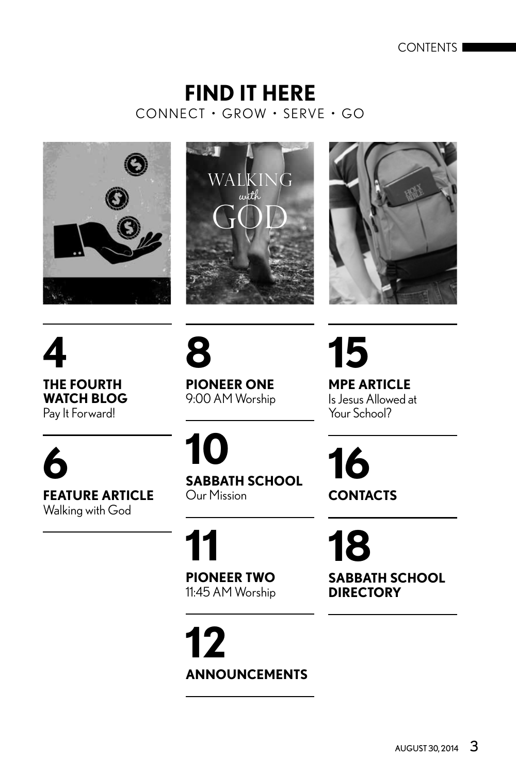CONTENTS

# CONNECT • GROW • SERVE • GO **FIND IT HERE**







**4 THE FOURTH WATCH BLOG** Pay It Forward!

**6 FEATURE ARTICLE**

**8 PIONEER ONE** 9:00 AM Worship **15 MPE ARTICLE** Is Jesus Allowed at Your School?

**16**

**CONTACTS** 

Walking with God **10**

**SABBATH SCHOOL** Our Mission

**11 PIONEER TWO** 11:45 AM Worship

**12 ANNOUNCEMENTS**

**18 SABBATH SCHOOL DIRECTORY**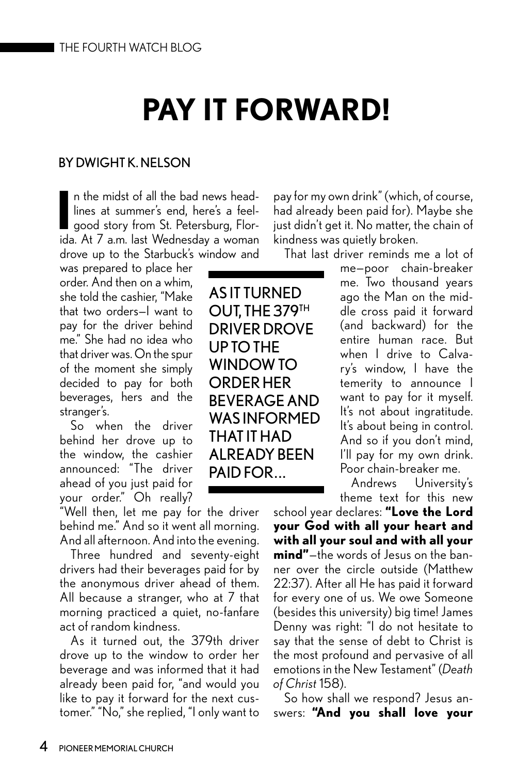# **PAY IT FORWARD!**

#### BY DWIGHT K. NELSON

**I** n the midst of all the bad news headlines at summer's end, here's a feelgood story from St. Petersburg, Florida. At 7 a.m. last Wednesday a woman drove up to the Starbuck's window and

was prepared to place her order. And then on a whim, she told the cashier, "Make that two orders—I want to pay for the driver behind me." She had no idea who that driver was. On the spur of the moment she simply decided to pay for both beverages, hers and the stranger's.

So when the driver behind her drove up to the window, the cashier announced: "The driver ahead of you just paid for your order." Oh really?

"Well then, let me pay for the driver behind me." And so it went all morning. And all afternoon. And into the evening.

Three hundred and seventy-eight drivers had their beverages paid for by the anonymous driver ahead of them. All because a stranger, who at 7 that morning practiced a quiet, no-fanfare act of random kindness.

As it turned out, the 379th driver drove up to the window to order her beverage and was informed that it had already been paid for, "and would you like to pay it forward for the next customer." "No," she replied, "I only want to pay for my own drink" (which, of course, had already been paid for). Maybe she just didn't get it. No matter, the chain of kindness was quietly broken.

That last driver reminds me a lot of

me—poor chain-breaker me. Two thousand years ago the Man on the middle cross paid it forward (and backward) for the entire human race. But when I drive to Calvary's window, I have the temerity to announce I want to pay for it myself. It's not about ingratitude. It's about being in control. And so if you don't mind, I'll pay for my own drink. Poor chain-breaker me.

Andrews University's theme text for this new

school year declares: **"Love the Lord your God with all your heart and with all your soul and with all your mind"**—the words of Jesus on the banner over the circle outside (Matthew 22:37). After all He has paid it forward for every one of us. We owe Someone (besides this university) big time! James Denny was right: "I do not hesitate to say that the sense of debt to Christ is the most profound and pervasive of all emotions in the New Testament" (*Death of Christ* 158).

So how shall we respond? Jesus answers: **"And you shall love your** 

AS IT TURNED OUT, THE 379TH DRIVER DROVE UP TO THE WINDOW TO ORDER HER BEVERAGE AND WAS INFORMED THAT IT HAD ALREADY BEEN PAID FOR. ..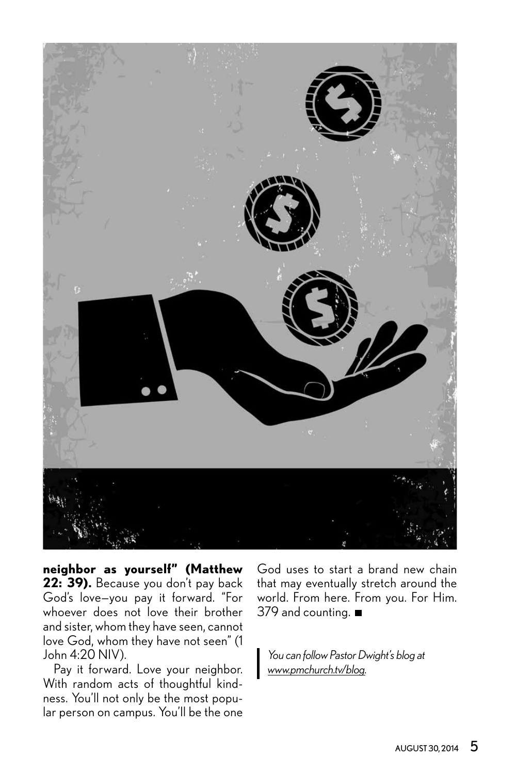

**neighbor as yourself" (Matthew**  22: 39). Because you don't pay back God's love—you pay it forward. "For whoever does not love their brother and sister, whom they have seen, cannot love God, whom they have not seen" (1 John 4:20 NIV).

Pay it forward. Love your neighbor. With random acts of thoughtful kindness. You'll not only be the most popular person on campus. You'll be the one God uses to start a brand new chain that may eventually stretch around the world. From here. From you. For Him. 379 and counting.

*You can follow Pastor Dwight's blog at www.pmchurch.tv/blog.*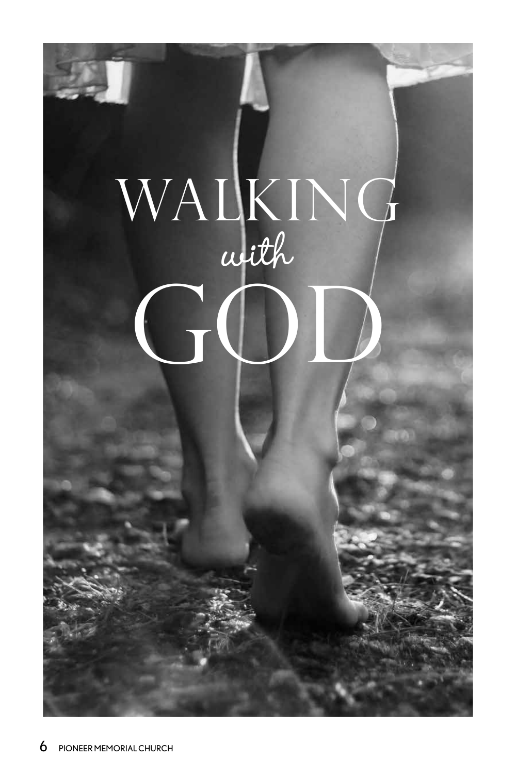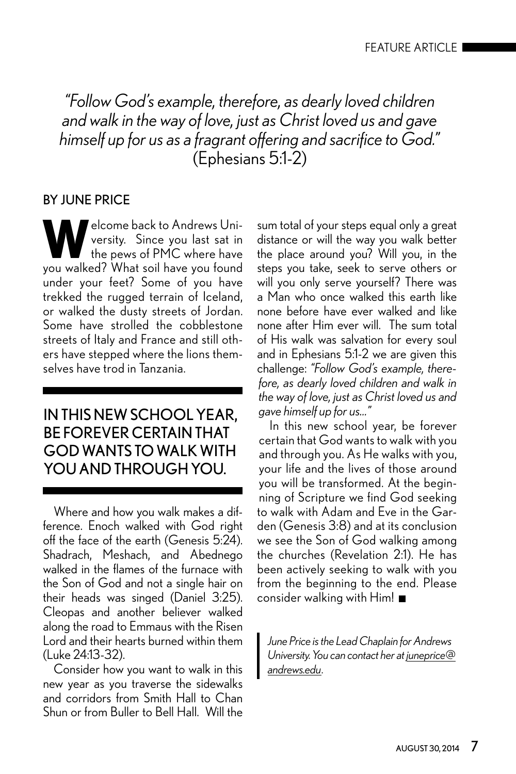*"Follow God's example, therefore, as dearly loved children and walk in the way of love, just as Christ loved us and gave himself up for us as a fragrant offering and sacrifice to God."* (Ephesians 5:1-2)

## BY JUNE PRICE

**W**elcome back to Andrews Uni-<br>the pews of PMC where have<br>the pews of PMC where have versity. Since you last sat in the pews of PMC where have you walked? What soil have you found under your feet? Some of you have trekked the rugged terrain of Iceland, or walked the dusty streets of Jordan. Some have strolled the cobblestone streets of Italy and France and still others have stepped where the lions themselves have trod in Tanzania.

# IN THIS NEW SCHOOL YEAR, BE FOREVER CERTAIN THAT GOD WANTS TO WALK WITH YOU AND THROUGH YOU.

Where and how you walk makes a difference. Enoch walked with God right off the face of the earth (Genesis 5:24). Shadrach, Meshach, and Abednego walked in the flames of the furnace with the Son of God and not a single hair on their heads was singed (Daniel 3:25). Cleopas and another believer walked along the road to Emmaus with the Risen Lord and their hearts burned within them (Luke 24:13-32).

Consider how you want to walk in this new year as you traverse the sidewalks and corridors from Smith Hall to Chan Shun or from Buller to Bell Hall. Will the sum total of your steps equal only a great distance or will the way you walk better the place around you? Will you, in the steps you take, seek to serve others or will you only serve yourself? There was a Man who once walked this earth like none before have ever walked and like none after Him ever will. The sum total of His walk was salvation for every soul and in Ephesians 5:1-2 we are given this challenge: *"Follow God's example, therefore, as dearly loved children and walk in the way of love, just as Christ loved us and gave himself up for us…"*

In this new school year, be forever certain that God wants to walk with you and through you. As He walks with you, your life and the lives of those around you will be transformed. At the beginning of Scripture we find God seeking to walk with Adam and Eve in the Garden (Genesis 3:8) and at its conclusion we see the Son of God walking among the churches (Revelation 2:1). He has been actively seeking to walk with you from the beginning to the end. Please consider walking with Him!

*June Price is the Lead Chaplain for Andrews University. You can contact her at juneprice@ andrews.edu*.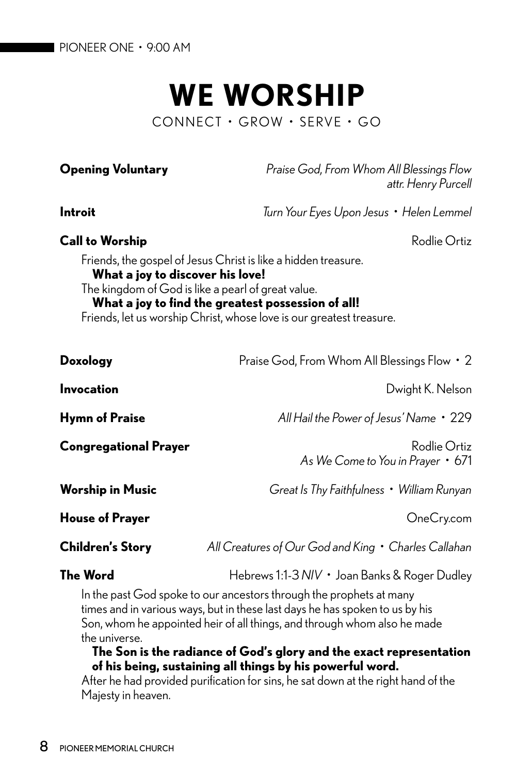# **WE WORSHIP** CONNECT • GROW • SERVE • GO

**Opening Voluntary** *Praise God, From Whom All Blessings Flow attr. Henry Purcell*

**Introit** *Turn Your Eyes Upon Jesus • Helen Lemmel*

#### **Call to Worship Call to Worship Rodlie Ortiz**

Friends, the gospel of Jesus Christ is like a hidden treasure. **What a joy to discover his love!** The kingdom of God is like a pearl of great value. **What a joy to find the greatest possession of all!** Friends, let us worship Christ, whose love is our greatest treasure.

**Doxology** Praise God, From Whom All Blessings Flow • 2 **Invocation** Dwight K. Nelson **Hymn of Praise** *All Hail the Power of Jesus' Name* • 229 **Congregational Prayer Congregational Prayer** *As We Come to You in Prayer* • 671 **Worship in Music** *Great Is Thy Faithfulness • William Runyan* **House of Prayer Contract Contract Contract Contract Contract Contract Contract Contract Contract Contract Contract Contract Contract Contract Contract Contract Contract Contract Contract Contract Contract Contract Contr Children's Story** *All Creatures of Our God and King • Charles Callahan* **The Word Hebrews 1:1-3** *NIV* • Joan Banks & Roger Dudley In the past God spoke to our ancestors through the prophets at many

times and in various ways, but in these last days he has spoken to us by his Son, whom he appointed heir of all things, and through whom also he made the universe.

#### **The Son is the radiance of God's glory and the exact representation of his being, sustaining all things by his powerful word.**

After he had provided purification for sins, he sat down at the right hand of the Majesty in heaven.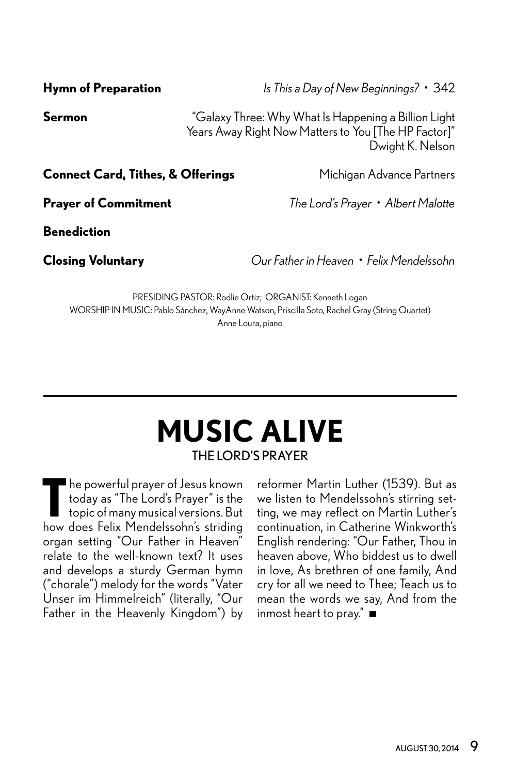**Sermon** "Galaxy Three: Why What Is Happening a Billion Light Years Away Right Now Matters to You [The HP Factor]" Dwight K. Nelson

**Connect Card, Tithes, & Offerings** Michigan Advance Partners

**Prayer of Commitment** *The Lord's Prayer • Albert Malotte* 

**Benediction**

**Closing Voluntary** *Our Father in Heaven • Felix Mendelssohn*

PRESIDING PASTOR: Rodlie Ortiz; ORGANIST: Kenneth Logan WORSHIP IN MUSIC: Pablo Sánchez, WayAnne Watson, Priscilla Soto, Rachel Gray (String Quartet) Anne Loura, piano

# THE LORD'S PRAYER **MUSIC ALIVE**

The powerful prayer of Jesus known<br>today as "The Lord's Prayer" is the<br>topic of many musical versions. But he powerful prayer of Jesus known today as "The Lord's Prayer" is the how does Felix Mendelssohn's striding organ setting "Our Father in Heaven" relate to the well-known text? It uses and develops a sturdy German hymn ("chorale") melody for the words "Vater Unser im Himmelreich" (literally, "Our Father in the Heavenly Kingdom") by

reformer Martin Luther (1539). But as we listen to Mendelssohn's stirring setting, we may reflect on Martin Luther's continuation, in Catherine Winkworth's English rendering: "Our Father, Thou in heaven above, Who biddest us to dwell in love, As brethren of one family, And cry for all we need to Thee; Teach us to mean the words we say, And from the inmost heart to pray."

#### **Hymn of Preparation** *Is This a Day of New Beginnings?* • 342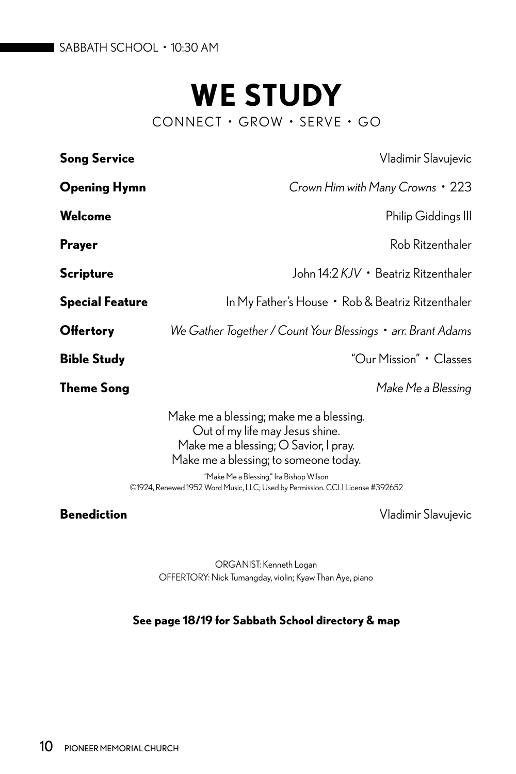# **WE STUDY**

CONNECT • GROW • SERVE • GO

| <b>Song Service</b>    | Vladimir Slavujevic                                                                                                                                                                                                                                                                      |
|------------------------|------------------------------------------------------------------------------------------------------------------------------------------------------------------------------------------------------------------------------------------------------------------------------------------|
| <b>Opening Hymn</b>    | Crown Him with Many Crowns • 223                                                                                                                                                                                                                                                         |
| Welcome                | Philip Giddings III                                                                                                                                                                                                                                                                      |
| <b>Prayer</b>          | Rob Ritzenthaler                                                                                                                                                                                                                                                                         |
| <b>Scripture</b>       | John 14:2 KJV · Beatriz Ritzenthaler                                                                                                                                                                                                                                                     |
| <b>Special Feature</b> | In My Father's House • Rob & Beatriz Ritzenthaler                                                                                                                                                                                                                                        |
| <b>Offertory</b>       | We Gather Together / Count Your Blessings • arr. Brant Adams                                                                                                                                                                                                                             |
| <b>Bible Study</b>     | "Our Mission" • Classes                                                                                                                                                                                                                                                                  |
| <b>Theme Song</b>      | Make Me a Blessing                                                                                                                                                                                                                                                                       |
|                        | Make me a blessing; make me a blessing.<br>Out of my life may Jesus shine.<br>Make me a blessing; O Savior, I pray.<br>Make me a blessing; to someone today.<br>"Make Me a Blessing," Ira Bishop Wilson<br>©1924, Renewed 1952 Word Music, LLC; Used by Permission. CCLI License #392652 |
| <b>Benediction</b>     | Vladimir Slavujevic                                                                                                                                                                                                                                                                      |

ORGANIST: Kenneth Logan OFFERTORY: Nick Tumangday, violin; Kyaw Than Aye, piano

#### **See page 18/19 for Sabbath School directory & map**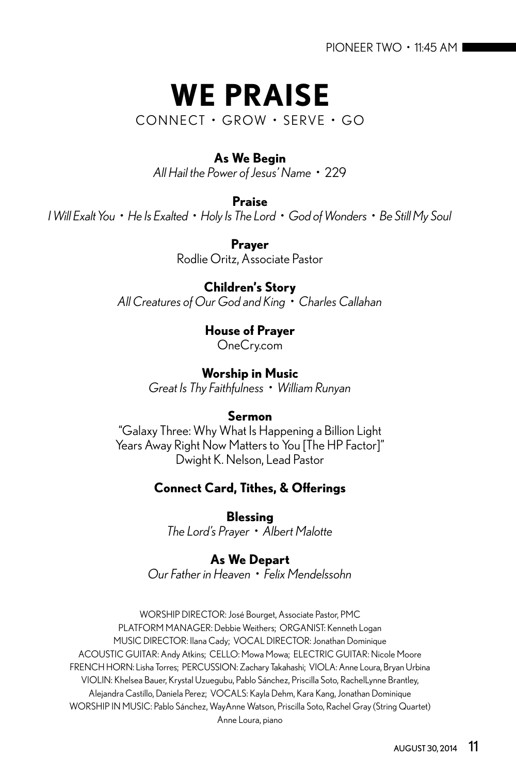# **WE PRAISE**

CONNECT • GROW • SERVE • GO

#### **As We Begin**

*All Hail the Power of Jesus' Name •* 229

**Praise**

*I Will Exalt You • He Is Exalted • Holy Is The Lord • God of Wonders • Be Still My Soul*

**Prayer** Rodlie Oritz, Associate Pastor

#### **Children's Story**

*All Creatures of Our God and King • Charles Callahan*

**House of Prayer** OneCry.com

**Worship in Music**

*Great Is Thy Faithfulness • William Runyan*

#### **Sermon**

"Galaxy Three: Why What Is Happening a Billion Light Years Away Right Now Matters to You [The HP Factor]" Dwight K. Nelson, Lead Pastor

## **Connect Card, Tithes, & Offerings**

**Blessing** *The Lord's Prayer • Albert Malotte*

## **As We Depart**

*Our Father in Heaven • Felix Mendelssohn*

WORSHIP DIRECTOR: José Bourget, Associate Pastor, PMC PLATFORM MANAGER: Debbie Weithers; ORGANIST: Kenneth Logan MUSIC DIRECTOR: Ilana Cady; VOCAL DIRECTOR: Jonathan Dominique ACOUSTIC GUITAR: Andy Atkins; CELLO: Mowa Mowa; ELECTRIC GUITAR: Nicole Moore FRENCH HORN: Lisha Torres; PERCUSSION: Zachary Takahashi; VIOLA: Anne Loura, Bryan Urbina VIOLIN: Khelsea Bauer, Krystal Uzuegubu, Pablo Sánchez, Priscilla Soto, RachelLynne Brantley, Alejandra Castillo, Daniela Perez; VOCALS: Kayla Dehm, Kara Kang, Jonathan Dominique WORSHIP IN MUSIC: Pablo Sánchez, WayAnne Watson, Priscilla Soto, Rachel Gray (String Quartet) Anne Loura, piano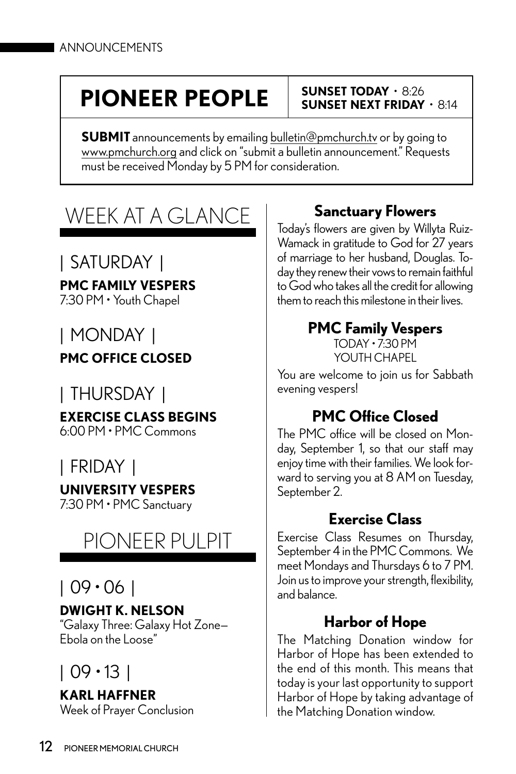# **SUNSET TODAY** • 8:26 **PIONEER PEOPLE SUNSET NEXT FRIDAY** • 8:14

**SUBMIT** announcements by emailing bulletin@pmchurch.tv or by going to www.pmchurch.org and click on "submit a bulletin announcement." Requests must be received Monday by 5 PM for consideration.

# WEEK AT A GLANCE

# | SATURDAY |

**PMC FAMILY VESPERS**

7:30 PM • Youth Chapel

# | MONDAY |

**PMC OFFICE CLOSED**

# | THURSDAY |

**EXERCISE CLASS BEGINS** 6:00 PM • PMC Commons

# | FRIDAY |

# **UNIVERSITY VESPERS**

7:30 PM • PMC Sanctuary

# PIONEER PULPIT

# | 09 • 06 |

## **DWIGHT K. NELSON**

"Galaxy Three: Galaxy Hot Zone— Ebola on the Loose"

# | 09 • 13 |

**KARL HAFFNER** Week of Prayer Conclusion

# **Sanctuary Flowers**

Today's flowers are given by Willyta Ruiz-Wamack in gratitude to God for 27 years of marriage to her husband, Douglas. Today they renew their vows to remain faithful to God who takes all the credit for allowing them to reach this milestone in their lives.

# **PMC Family Vespers**

TODAY • 7:30 PM YOUTH CHAPFL

You are welcome to join us for Sabbath evening vespers!

# **PMC Office Closed**

The PMC office will be closed on Monday, September 1, so that our staff may enjoy time with their families. We look forward to serving you at 8 AM on Tuesday, September 2.

# **Exercise Class**

Exercise Class Resumes on Thursday, September 4 in the PMC Commons. We meet Mondays and Thursdays 6 to 7 PM. Join us to improve your strength, flexibility, and balance.

# **Harbor of Hope**

The Matching Donation window for Harbor of Hope has been extended to the end of this month. This means that today is your last opportunity to support Harbor of Hope by taking advantage of the Matching Donation window.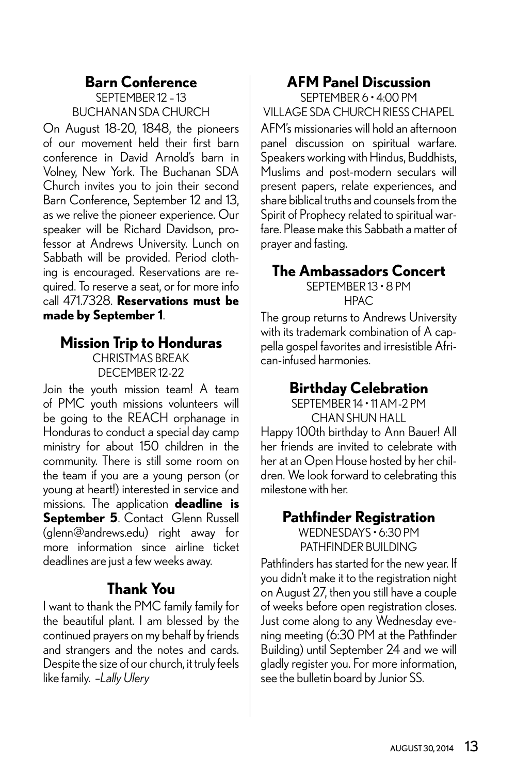#### **Barn Conference** SEPTEMBER 12 – 13

BUCHANAN SDA CHURCH

On August 18-20, 1848, the pioneers of our movement held their first barn conference in David Arnold's barn in Volney, New York. The Buchanan SDA Church invites you to join their second Barn Conference, September 12 and 13, as we relive the pioneer experience. Our speaker will be Richard Davidson, professor at Andrews University. Lunch on Sabbath will be provided. Period clothing is encouraged. Reservations are required. To reserve a seat, or for more info call 471.7328. **Reservations must be made by September 1**.

## **Mission Trip to Honduras** CHRISTMAS BREAK DECEMBER 12-22

Join the youth mission team! A team of PMC youth missions volunteers will be going to the REACH orphanage in Honduras to conduct a special day camp ministry for about 150 children in the community. There is still some room on the team if you are a young person (or young at heart!) interested in service and missions. The application **deadline is September 5**. Contact Glenn Russell (glenn@andrews.edu) right away for more information since airline ticket deadlines are just a few weeks away.

# **Thank You**

I want to thank the PMC family family for the beautiful plant. I am blessed by the continued prayers on my behalf by friends and strangers and the notes and cards. Despite the size of our church, it truly feels like family. –*Lally Ulery*

# **AFM Panel Discussion**

SEPTEMBER 6 • 4:00 PM VILLAGE SDA CHURCH RIESS CHAPEL AFM's missionaries will hold an afternoon panel discussion on spiritual warfare. Speakers working with Hindus, Buddhists, Muslims and post-modern seculars will present papers, relate experiences, and share biblical truths and counsels from the Spirit of Prophecy related to spiritual warfare. Please make this Sabbath a matter of prayer and fasting.

# **The Ambassadors Concert**

SEPTEMBER 13 • 8 PM HPAC

The group returns to Andrews University with its trademark combination of A cappella gospel favorites and irresistible African-infused harmonies.

# **Birthday Celebration**

SEPTEMBER 14 • 11 AM-2 PM CHAN SHUN HALL

Happy 100th birthday to Ann Bauer! All her friends are invited to celebrate with her at an Open House hosted by her children. We look forward to celebrating this milestone with her.

#### **Pathfinder Registration** WEDNESDAYS • 6:30 PM PATHFINDER BUILDING

Pathfinders has started for the new year. If you didn't make it to the registration night on August 27, then you still have a couple of weeks before open registration closes. Just come along to any Wednesday evening meeting (6:30 PM at the Pathfinder Building) until September 24 and we will gladly register you. For more information, see the bulletin board by Junior SS.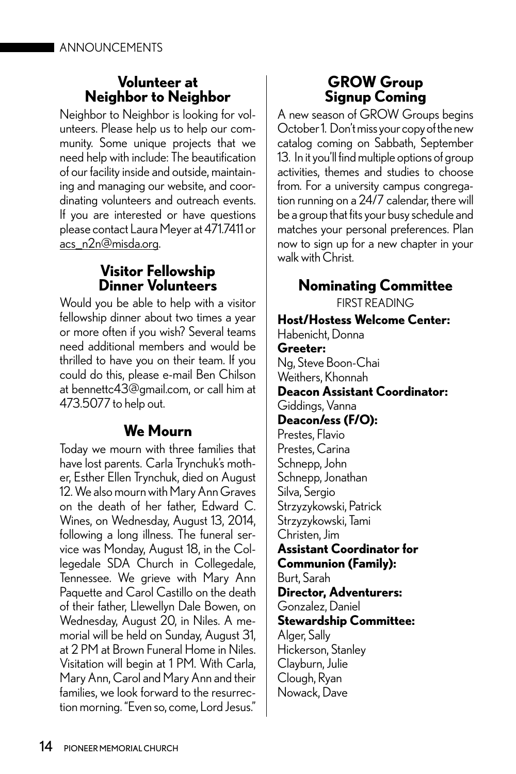## **Volunteer at Neighbor to Neighbor**

Neighbor to Neighbor is looking for volunteers. Please help us to help our community. Some unique projects that we need help with include: The beautification of our facility inside and outside, maintaining and managing our website, and coordinating volunteers and outreach events. If you are interested or have questions please contact Laura Meyer at 471.7411 or acs\_n2n@misda.org.

# **Visitor Fellowship Dinner Volunteers**

Would you be able to help with a visitor fellowship dinner about two times a year or more often if you wish? Several teams need additional members and would be thrilled to have you on their team. If you could do this, please e-mail Ben Chilson at bennettc43@gmail.com, or call him at 473.5077 to help out.

# **We Mourn**

Today we mourn with three families that have lost parents. Carla Trynchuk's mother, Esther Ellen Trynchuk, died on August 12. We also mourn with Mary Ann Graves on the death of her father, Edward C. Wines, on Wednesday, August 13, 2014, following a long illness. The funeral service was Monday, August 18, in the Collegedale SDA Church in Collegedale, Tennessee. We grieve with Mary Ann Paquette and Carol Castillo on the death of their father, Llewellyn Dale Bowen, on Wednesday, August 20, in Niles. A memorial will be held on Sunday, August 31, at 2 PM at Brown Funeral Home in Niles. Visitation will begin at 1 PM. With Carla, Mary Ann, Carol and Mary Ann and their families, we look forward to the resurrection morning. "Even so, come, Lord Jesus."

# **GROW Group Signup Coming**

A new season of GROW Groups begins October 1. Don't miss your copy of the new catalog coming on Sabbath, September 13. In it you'll find multiple options of group activities, themes and studies to choose from. For a university campus congregation running on a 24/7 calendar, there will be a group that fits your busy schedule and matches your personal preferences. Plan now to sign up for a new chapter in your walk with Christ.

# **Nominating Committee**

FIRST READING

**Host/Hostess Welcome Center:** Habenicht, Donna **Greeter:** Ng, Steve Boon-Chai Weithers, Khonnah **Deacon Assistant Coordinator:** Giddings, Vanna **Deacon/ess (F/O):** Prestes, Flavio Prestes, Carina Schnepp, John Schnepp, Jonathan Silva, Sergio Strzyzykowski, Patrick Strzyzykowski, Tami Christen, Jim **Assistant Coordinator for Communion (Family):** Burt, Sarah **Director, Adventurers:** Gonzalez, Daniel **Stewardship Committee:** Alger, Sally Hickerson, Stanley Clayburn, Julie Clough, Ryan Nowack, Dave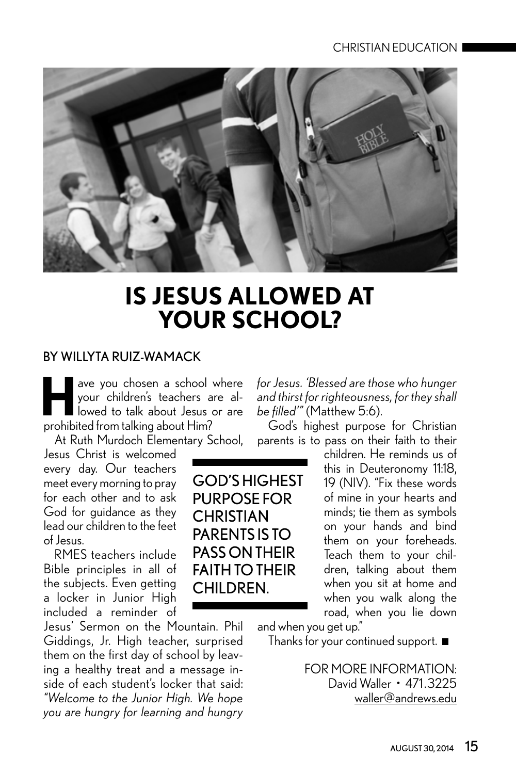

# **IS JESUS ALLOWED AT YOUR SCHOOL?**

#### BY WILLYTA RUIZ-WAMACK

**Have you chosen a school where**<br>your children's teachers are allowed to talk about Jesus or are your children's teachers are allowed to talk about Jesus or are prohibited from talking about Him?

At Ruth Murdoch Elementary School,

Jesus Christ is welcomed every day. Our teachers meet every morning to pray for each other and to ask God for guidance as they lead our children to the feet of Jesus.

RMES teachers include Bible principles in all of the subjects. Even getting a locker in Junior High included a reminder of

Jesus' Sermon on the Mountain. Phil Giddings, Jr. High teacher, surprised them on the first day of school by leaving a healthy treat and a message inside of each student's locker that said: *"Welcome to the Junior High. We hope you are hungry for learning and hungry*  *for Jesus. 'Blessed are those who hunger and thirst for righteousness, for they shall be filled'"* (Matthew 5:6).

God's highest purpose for Christian parents is to pass on their faith to their

> children. He reminds us of this in Deuteronomy 11:18, 19 (NIV). "Fix these words of mine in your hearts and minds; tie them as symbols on your hands and bind them on your foreheads. Teach them to your children, talking about them when you sit at home and when you walk along the road, when you lie down

and when you get up."

Thanks for your continued support.

FOR MORE INFORMATION: David Waller • 471 .3225 waller@andrews.edu

GOD'S HIGHEST PURPOSE FOR **CHRISTIAN** PARENTS IS TO PASS ON THEIR FAITH TO THEIR CHILDREN.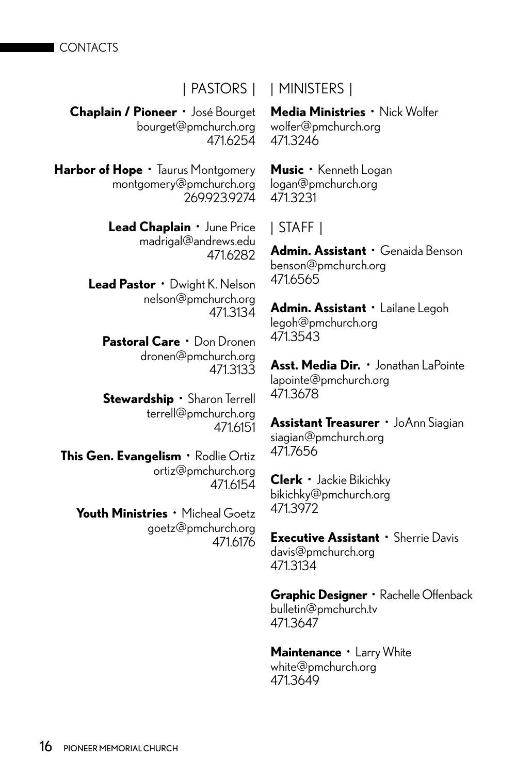**CONTACTS** 

#### | PASTORS | | MINISTERS |

**Chaplain / Pioneer** • José Bourget bourget@pmchurch.org 471.6254

Harbor of Hope · Taurus Montgomery montgomery@pmchurch.org 269.923.9274

> **Lead Chaplain** • June Price madrigal@andrews.edu 471.6282

**Lead Pastor** • Dwight K. Nelson nelson@pmchurch.org 471.3134

**Pastoral Care** • Don Dronen dronen@pmchurch.org 471.3133

**Stewardship** • Sharon Terrell terrell@pmchurch.org 471.6151

**This Gen. Evangelism** • Rodlie Ortiz ortiz@pmchurch.org 471.6154

**Youth Ministries** • Micheal Goetz goetz@pmchurch.org 471.6176 **Media Ministries** • Nick Wolfer wolfer@pmchurch.org 471.3246

**Music** • Kenneth Logan logan@pmchurch.org 471.3231

# | STAFF |

**Admin. Assistant** • Genaida Benson benson@pmchurch.org 471.6565

**Admin. Assistant** • Lailane Legoh legoh@pmchurch.org 471.3543

**Asst. Media Dir.** • Jonathan LaPointe lapointe@pmchurch.org 471.3678

**Assistant Treasurer** • JoAnn Siagian siagian@pmchurch.org 471.7656

**Clerk** • Jackie Bikichky bikichky@pmchurch.org 471.3972

**Executive Assistant** • Sherrie Davis davis@pmchurch.org 471.3134

**Graphic Designer** • Rachelle Offenback bulletin@pmchurch.tv 471.3647

**Maintenance** • Larry White white@pmchurch.org 471.3649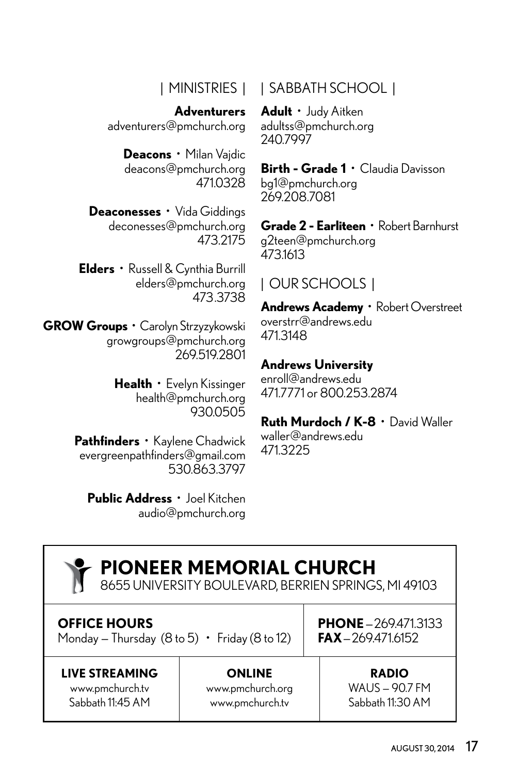# | MINISTRIES |

**Adventurers** adventurers@pmchurch.org

> **Deacons** • Milan Vajdic deacons@pmchurch.org 471.0328

**Deaconesses** • Vida Giddings deconesses@pmchurch.org 473.2175

**Elders** • Russell & Cynthia Burrill elders@pmchurch.org 473.3738

**GROW Groups** • Carolyn Strzyzykowski growgroups@pmchurch.org 269.519.2801

> **Health** • Evelyn Kissinger health@pmchurch.org 930.0505

**Pathfinders** • Kaylene Chadwick evergreenpathfinders@gmail.com 530.863.3797

**Public Address** • Joel Kitchen audio@pmchurch.org

| SABBATH SCHOOL |

**Adult** • Judy Aitken adultss@pmchurch.org 240.7997

**Birth - Grade 1** • Claudia Davisson bg1@pmchurch.org 269.208.7081

**Grade 2 - Earliteen** • Robert Barnhurst g2teen@pmchurch.org 473.1613

# | OUR SCHOOLS |

**Andrews Academy** • Robert Overstreet overstrr@andrews.edu 471.3148

#### **Andrews University**

enroll@andrews.edu 471.7771 or 800.253.2874

## **Ruth Murdoch / K-8** • David Waller

waller@andrews.edu 471.3225

#### **LIVE STREAMING** www.pmchurch.tv Sabbath 11:45 AM **ONLINE** www.pmchurch.org www.pmchurch.tv **RADIO** WAUS — 90.7 FM Sabbath 11:30 AM **PHONE**—269.471.3133  $FAX = 269.471.6152$ **PIONEER MEMORIAL CHURCH** 8655 UNIVERSITY BOULEVARD, BERRIEN SPRINGS, MI 49103 **OFFICE HOURS** Monday – Thursday  $(8 \text{ to } 5) \cdot \text{Friday} (8 \text{ to } 12)$

AUGUST 30, 2014 17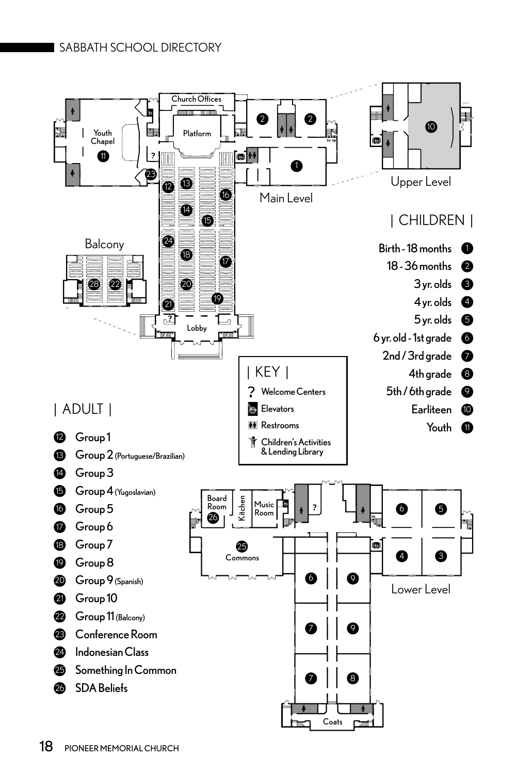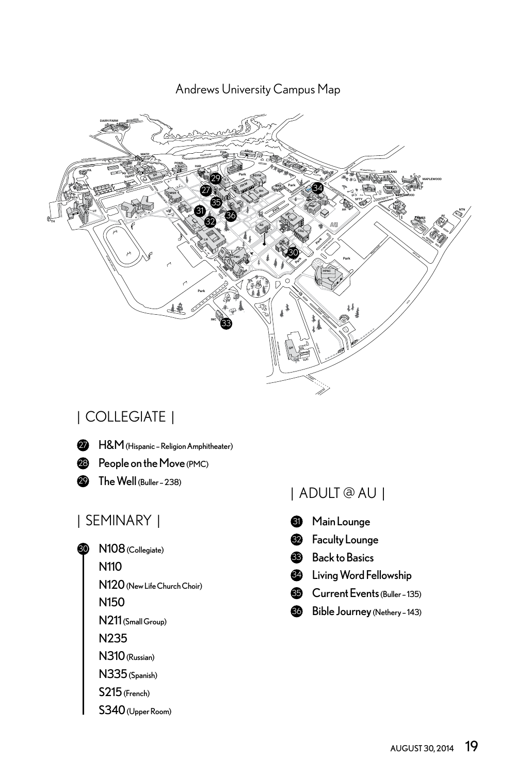**Andrews University Campus Map** 

![](_page_18_Picture_1.jpeg)

# | COLLEGIATE | **AA** Andrews Academy **AAP** Andrews Airpark *(Aeronautics, Seamount Building, Tucker*

- **2** H&M (Hispanic Religion Amphitheater)
- **23** People on the Move (PMC)
- **29** The Well (Buller 238) **AV** Apple Valley Market

#### | SEMINARY | Main Lounge *Pathology & Audiology)* **BKS** Bookstore *(Post Office, Hair Salon)* **BUL** Buller Hall *(Behavioral Sciences, CIDP, History & Political Science, IDP, Religion & Biblical Languages)*

- **<sup>30</sup>** N108 (Collegiate)
- **COMPONEY CONOMIC SHUN HALL INTIO SYSTEMS** 
	- N120 (New Life Church Choir)
	- N150
	- N211 (Small Group)
	- N235
	- N310 (Russian)
	- N335 (Spanish)
	- S215 (French)
	- S340 (Upper Room)

#### | ADULT @ AU | **POWR** Power Plant **PS** Plant Service **PT** Physical Therapy

- 31 **HH** Halenz Hall *(Chemistry & Biochemistry, Medical Laboratory*  **SEM** Seminary **SFTY** Campus Safety **SH** Smith Hall *(Agriculture, Art Gallery)*
- **32** Faculty Lounge **IS** Information Technology *(AIM, ITS, Telecom)*
- **83** Back to Basics
	- Living Word Fellowship 34
	- **Current Events (Buller 135)** 
		- **80** Bible Journey (Nethery 143)